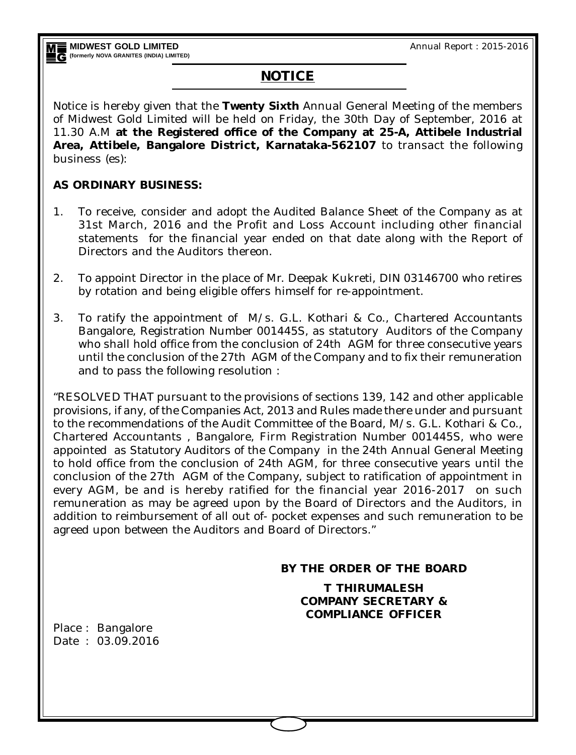Annual Report : 2015-2016

# **NOTICE**

Notice is hereby given that the **Twenty Sixth** Annual General Meeting of the members of Midwest Gold Limited will be held on Friday, the 30th Day of September, 2016 at 11.30 A.M **at the Registered office of the Company at 25-A, Attibele Industrial Area, Attibele, Bangalore District, Karnataka-562107** to transact the following business (es):

## **AS ORDINARY BUSINESS:**

- 1. To receive, consider and adopt the Audited Balance Sheet of the Company as at 31st March, 2016 and the Profit and Loss Account including other financial statements for the financial year ended on that date along with the Report of Directors and the Auditors thereon.
- 2. To appoint Director in the place of Mr. Deepak Kukreti, DIN 03146700 who retires by rotation and being eligible offers himself for re-appointment.
- 3. To ratify the appointment of M/s. G.L. Kothari & Co., Chartered Accountants Bangalore, Registration Number 001445S, as statutory Auditors of the Company who shall hold office from the conclusion of 24th AGM for three consecutive years until the conclusion of the 27th AGM of the Company and to fix their remuneration and to pass the following resolution :

"RESOLVED THAT pursuant to the provisions of sections 139, 142 and other applicable provisions, if any, of the Companies Act, 2013 and Rules made there under and pursuant to the recommendations of the Audit Committee of the Board, M/s. G.L. Kothari & Co., Chartered Accountants , Bangalore, Firm Registration Number 001445S, who were appointed as Statutory Auditors of the Company in the 24th Annual General Meeting to hold office from the conclusion of 24th AGM, for three consecutive years until the conclusion of the 27th AGM of the Company, subject to ratification of appointment in every AGM, be and is hereby ratified for the financial year 2016-2017 on such remuneration as may be agreed upon by the Board of Directors and the Auditors, in addition to reimbursement of all out of- pocket expenses and such remuneration to be agreed upon between the Auditors and Board of Directors."

### **BY THE ORDER OF THE BOARD**

**T THIRUMALESH COMPANY SECRETARY & COMPLIANCE OFFICER**

Place : Bangalore Date : 03.09.2016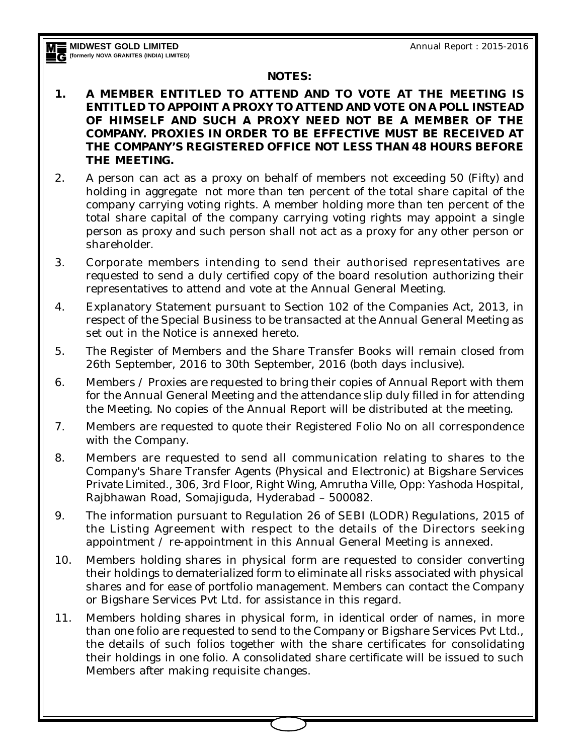### **NOTES:**

- **1. A MEMBER ENTITLED TO ATTEND AND TO VOTE AT THE MEETING IS ENTITLED TO APPOINT A PROXY TO ATTEND AND VOTE ON A POLL INSTEAD OF HIMSELF AND SUCH A PROXY NEED NOT BE A MEMBER OF THE COMPANY. PROXIES IN ORDER TO BE EFFECTIVE MUST BE RECEIVED AT THE COMPANY'S REGISTERED OFFICE NOT LESS THAN 48 HOURS BEFORE THE MEETING.**
- 2. A person can act as a proxy on behalf of members not exceeding 50 (Fifty) and holding in aggregate not more than ten percent of the total share capital of the company carrying voting rights. A member holding more than ten percent of the total share capital of the company carrying voting rights may appoint a single person as proxy and such person shall not act as a proxy for any other person or shareholder.
- 3. Corporate members intending to send their authorised representatives are requested to send a duly certified copy of the board resolution authorizing their representatives to attend and vote at the Annual General Meeting.
- 4. Explanatory Statement pursuant to Section 102 of the Companies Act, 2013, in respect of the Special Business to be transacted at the Annual General Meeting as set out in the Notice is annexed hereto.
- 5. The Register of Members and the Share Transfer Books will remain closed from 26th September, 2016 to 30th September, 2016 (both days inclusive).
- 6. Members / Proxies are requested to bring their copies of Annual Report with them for the Annual General Meeting and the attendance slip duly filled in for attending the Meeting. No copies of the Annual Report will be distributed at the meeting.
- 7. Members are requested to quote their Registered Folio No on all correspondence with the Company.
- 8. Members are requested to send all communication relating to shares to the Company's Share Transfer Agents (Physical and Electronic) at Bigshare Services Private Limited., 306, 3rd Floor, Right Wing, Amrutha Ville, Opp: Yashoda Hospital, Rajbhawan Road, Somajiguda, Hyderabad – 500082.
- 9. The information pursuant to Regulation 26 of SEBI (LODR) Regulations, 2015 of the Listing Agreement with respect to the details of the Directors seeking appointment / re-appointment in this Annual General Meeting is annexed.
- 10. Members holding shares in physical form are requested to consider converting their holdings to dematerialized form to eliminate all risks associated with physical shares and for ease of portfolio management. Members can contact the Company or Bigshare Services Pvt Ltd. for assistance in this regard.
- 11. Members holding shares in physical form, in identical order of names, in more than one folio are requested to send to the Company or Bigshare Services Pvt Ltd., the details of such folios together with the share certificates for consolidating their holdings in one folio. A consolidated share certificate will be issued to such Members after making requisite changes.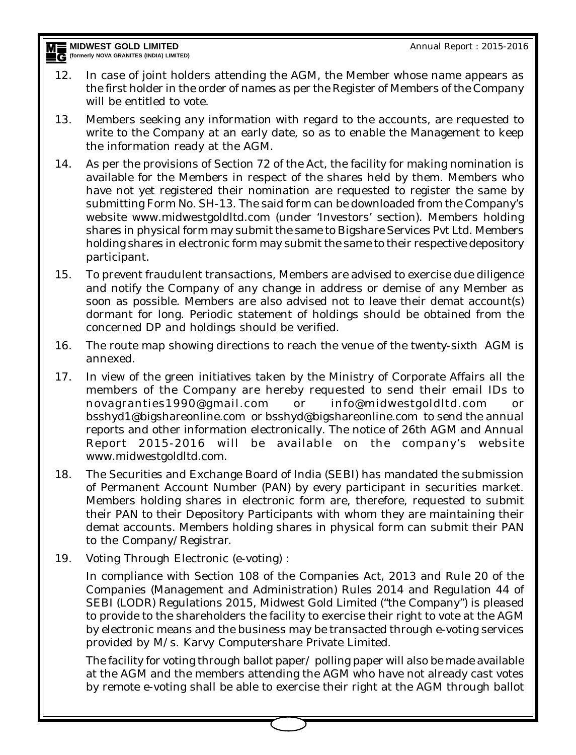**MIDWEST GOLD LIMITED (formerly NOVA GRANITES (INDITED)**<br>C (formerly NOVA GRANITES (INDIA) LIMITED)

- 12. In case of joint holders attending the AGM, the Member whose name appears as the first holder in the order of names as per the Register of Members of the Company will be entitled to vote.
- 13. Members seeking any information with regard to the accounts, are requested to write to the Company at an early date, so as to enable the Management to keep the information ready at the AGM.
- 14. As per the provisions of Section 72 of the Act, the facility for making nomination is available for the Members in respect of the shares held by them. Members who have not yet registered their nomination are requested to register the same by submitting Form No. SH-13. The said form can be downloaded from the Company's website www.midwestgoldltd.com (under 'Investors' section). Members holding shares in physical form may submit the same to Bigshare Services Pvt Ltd. Members holding shares in electronic form may submit the same to their respective depository participant.
- 15. To prevent fraudulent transactions, Members are advised to exercise due diligence and notify the Company of any change in address or demise of any Member as soon as possible. Members are also advised not to leave their demat account(s) dormant for long. Periodic statement of holdings should be obtained from the concerned DP and holdings should be verified.
- 16. The route map showing directions to reach the venue of the twenty-sixth AGM is annexed.
- 17. In view of the green initiatives taken by the Ministry of Corporate Affairs all the members of the Company are hereby requested to send their email IDs to novagranties1990@gmail.com or info@midwestgoldltd.com or bsshyd1@bigshareonline.com or bsshyd@bigshareonline.com to send the annual reports and other information electronically. The notice of 26th AGM and Annual Report 2015-2016 will be available on the company's website www.midwestgoldltd.com.
- 18. The Securities and Exchange Board of India (SEBI) has mandated the submission of Permanent Account Number (PAN) by every participant in securities market. Members holding shares in electronic form are, therefore, requested to submit their PAN to their Depository Participants with whom they are maintaining their demat accounts. Members holding shares in physical form can submit their PAN to the Company/Registrar.
- 19. Voting Through Electronic (e-voting) :

In compliance with Section 108 of the Companies Act, 2013 and Rule 20 of the Companies (Management and Administration) Rules 2014 and Regulation 44 of SEBI (LODR) Regulations 2015, Midwest Gold Limited ("the Company") is pleased to provide to the shareholders the facility to exercise their right to vote at the AGM by electronic means and the business may be transacted through e-voting services provided by M/s. Karvy Computershare Private Limited.

The facility for voting through ballot paper/ polling paper will also be made available at the AGM and the members attending the AGM who have not already cast votes by remote e-voting shall be able to exercise their right at the AGM through ballot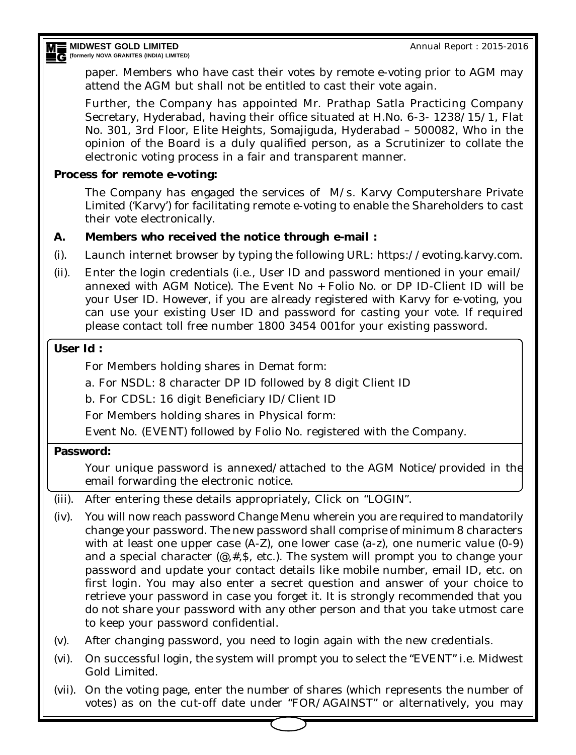Annual Report : 2015-2016

**MIDWEST GOLD LIMITED (formerly NOVA GRANITES (INDIA) LIMITED**<br>**E** (formerly NOVA GRANITES (INDIA) LIMITED)

> paper. Members who have cast their votes by remote e-voting prior to AGM may attend the AGM but shall not be entitled to cast their vote again.

> Further, the Company has appointed Mr. Prathap Satla Practicing Company Secretary, Hyderabad, having their office situated at H.No. 6-3- 1238/15/1, Flat No. 301, 3rd Floor, Elite Heights, Somajiguda, Hyderabad – 500082, Who in the opinion of the Board is a duly qualified person, as a Scrutinizer to collate the electronic voting process in a fair and transparent manner.

## **Process for remote e-voting:**

The Company has engaged the services of M/s. Karvy Computershare Private Limited ('Karvy') for facilitating remote e-voting to enable the Shareholders to cast their vote electronically.

## **A. Members who received the notice through e-mail :**

- (i). Launch internet browser by typing the following URL: https://evoting.karvy.com.
- (ii). Enter the login credentials (i.e., User ID and password mentioned in your email/ annexed with AGM Notice). The Event No + Folio No. or DP ID-Client ID will be your User ID. However, if you are already registered with Karvy for e-voting, you can use your existing User ID and password for casting your vote. If required please contact toll free number 1800 3454 001for your existing password.

### **User Id :**

For Members holding shares in Demat form:

a. For NSDL: 8 character DP ID followed by 8 digit Client ID

b. For CDSL: 16 digit Beneficiary ID/Client ID

For Members holding shares in Physical form:

Event No. (EVENT) followed by Folio No. registered with the Company.

## **Password:**

Your unique password is annexed/attached to the AGM Notice/provided in the email forwarding the electronic notice.

- (iii). After entering these details appropriately, Click on "LOGIN".
- (iv). You will now reach password Change Menu wherein you are required to mandatorily change your password. The new password shall comprise of minimum 8 characters with at least one upper case (A-Z), one lower case (a-z), one numeric value (0-9) and a special character  $(\mathcal{Q}, \#, \mathsf{S}, \text{ etc.})$ . The system will prompt you to change your password and update your contact details like mobile number, email ID, etc. on first login. You may also enter a secret question and answer of your choice to retrieve your password in case you forget it. It is strongly recommended that you do not share your password with any other person and that you take utmost care to keep your password confidential.
- (v). After changing password, you need to login again with the new credentials.
- (vi). On successful login, the system will prompt you to select the "EVENT" i.e. Midwest Gold Limited.
- (vii). On the voting page, enter the number of shares (which represents the number of votes) as on the cut-off date under "FOR/AGAINST" or alternatively, you may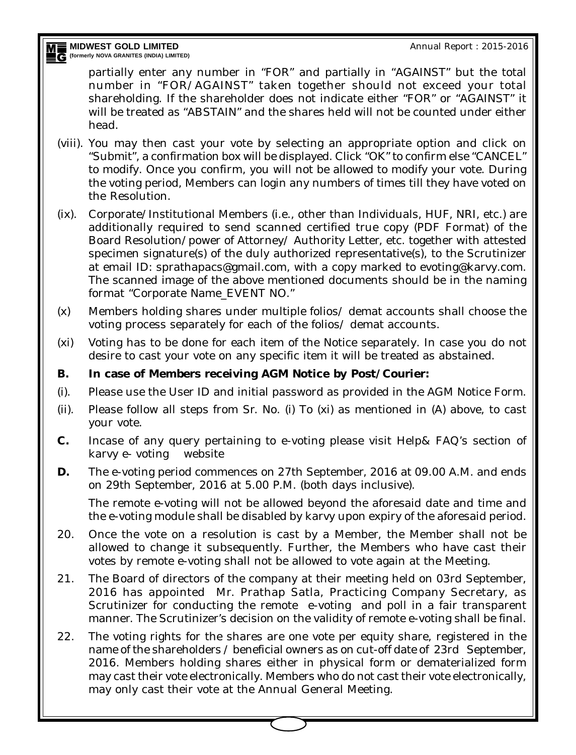Annual Report : 2015-2016

**MIDWEST GOLD LIMITED MEE** MIDWEST GOLD LIMITED<br>EG (formerly nova granites (india) limited)

> partially enter any number in "FOR" and partially in "AGAINST" but the total number in "FOR/AGAINST" taken together should not exceed your total shareholding. If the shareholder does not indicate either "FOR" or "AGAINST" it will be treated as "ABSTAIN" and the shares held will not be counted under either head.

- (viii). You may then cast your vote by selecting an appropriate option and click on "Submit", a confirmation box will be displayed. Click "OK" to confirm else "CANCEL" to modify. Once you confirm, you will not be allowed to modify your vote. During the voting period, Members can login any numbers of times till they have voted on the Resolution.
- (ix). Corporate/Institutional Members (i.e., other than Individuals, HUF, NRI, etc.) are additionally required to send scanned certified true copy (PDF Format) of the Board Resolution/power of Attorney/ Authority Letter, etc. together with attested specimen signature(s) of the duly authorized representative(s), to the Scrutinizer at email ID: sprathapacs@gmail.com, with a copy marked to evoting@karvy.com. The scanned image of the above mentioned documents should be in the naming format "Corporate Name\_EVENT NO."
- (x) Members holding shares under multiple folios/ demat accounts shall choose the voting process separately for each of the folios/ demat accounts.
- (xi) Voting has to be done for each item of the Notice separately. In case you do not desire to cast your vote on any specific item it will be treated as abstained.

## **B. In case of Members receiving AGM Notice by Post/Courier:**

- (i). Please use the User ID and initial password as provided in the AGM Notice Form.
- (ii). Please follow all steps from Sr. No. (i) To (xi) as mentioned in (A) above, to cast your vote.
- **C.** Incase of any query pertaining to e-voting please visit Help& FAQ's section of karvy e- voting website
- **D.** The e-voting period commences on 27th September, 2016 at 09.00 A.M. and ends on 29th September, 2016 at 5.00 P.M. (both days inclusive).

The remote e-voting will not be allowed beyond the aforesaid date and time and the e-voting module shall be disabled by karvy upon expiry of the aforesaid period.

- 20. Once the vote on a resolution is cast by a Member, the Member shall not be allowed to change it subsequently. Further, the Members who have cast their votes by remote e-voting shall not be allowed to vote again at the Meeting.
- 21. The Board of directors of the company at their meeting held on 03rd September, 2016 has appointed Mr. Prathap Satla, Practicing Company Secretary, as Scrutinizer for conducting the remote e-voting and poll in a fair transparent manner. The Scrutinizer's decision on the validity of remote e-voting shall be final.
- 22. The voting rights for the shares are one vote per equity share, registered in the name of the shareholders / beneficial owners as on cut-off date of 23rd September, 2016. Members holding shares either in physical form or dematerialized form may cast their vote electronically. Members who do not cast their vote electronically, may only cast their vote at the Annual General Meeting.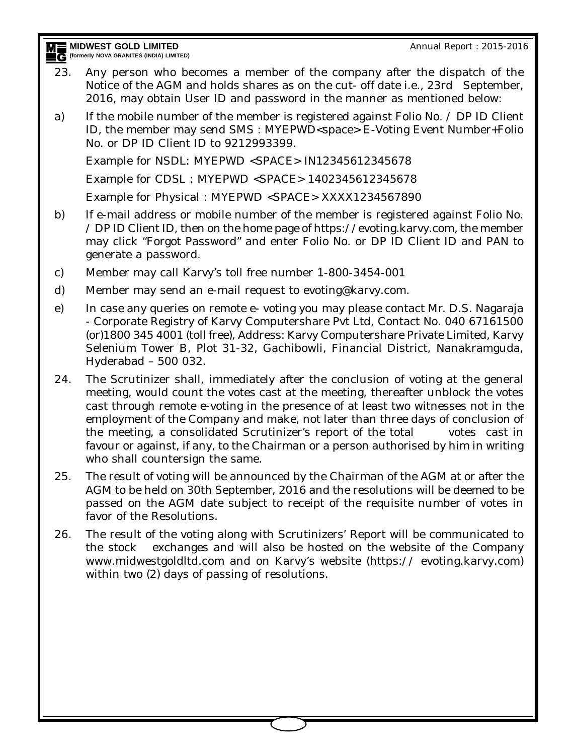**MIDWEST GOLD LIMITED (formerly NOVA GRANITES (INDITED)**<br>C (formerly NOVA GRANITES (INDIA) LIMITED) Annual Report : 2015-2016

- 23. Any person who becomes a member of the company after the dispatch of the Notice of the AGM and holds shares as on the cut- off date i.e., 23rd September, 2016, may obtain User ID and password in the manner as mentioned below:
- a) If the mobile number of the member is registered against Folio No.  $\angle$  DP ID Client ID, the member may send SMS : MYEPWD<space> E-Voting Event Number+Folio No. or DP ID Client ID to 9212993399.

Example for NSDL: MYEPWD <SPACE> IN12345612345678

Example for CDSL : MYEPWD <SPACE> 1402345612345678

Example for Physical : MYEPWD <SPACE> XXXX1234567890

- b) If e-mail address or mobile number of the member is registered against Folio No. / DP ID Client ID, then on the home page of https://evoting.karvy.com, the member may click "Forgot Password" and enter Folio No. or DP ID Client ID and PAN to generate a password.
- c) Member may call Karvy's toll free number 1-800-3454-001
- d) Member may send an e-mail request to evoting@karvy.com.
- e) In case any queries on remote e- voting you may please contact Mr. D.S. Nagaraja - Corporate Registry of Karvy Computershare Pvt Ltd, Contact No. 040 67161500 (or)1800 345 4001 (toll free), Address: Karvy Computershare Private Limited, Karvy Selenium Tower B, Plot 31-32, Gachibowli, Financial District, Nanakramguda, Hyderabad – 500 032.
- 24. The Scrutinizer shall, immediately after the conclusion of voting at the general meeting, would count the votes cast at the meeting, thereafter unblock the votes cast through remote e-voting in the presence of at least two witnesses not in the employment of the Company and make, not later than three days of conclusion of the meeting, a consolidated Scrutinizer's report of the total votes cast in favour or against, if any, to the Chairman or a person authorised by him in writing who shall countersign the same.
- 25. The result of voting will be announced by the Chairman of the AGM at or after the AGM to be held on 30th September, 2016 and the resolutions will be deemed to be passed on the AGM date subject to receipt of the requisite number of votes in favor of the Resolutions.
- 26. The result of the voting along with Scrutinizers' Report will be communicated to the stock exchanges and will also be hosted on the website of the Company www.midwestgoldltd.com and on Karvy's website (https:// evoting.karvy.com) within two (2) days of passing of resolutions.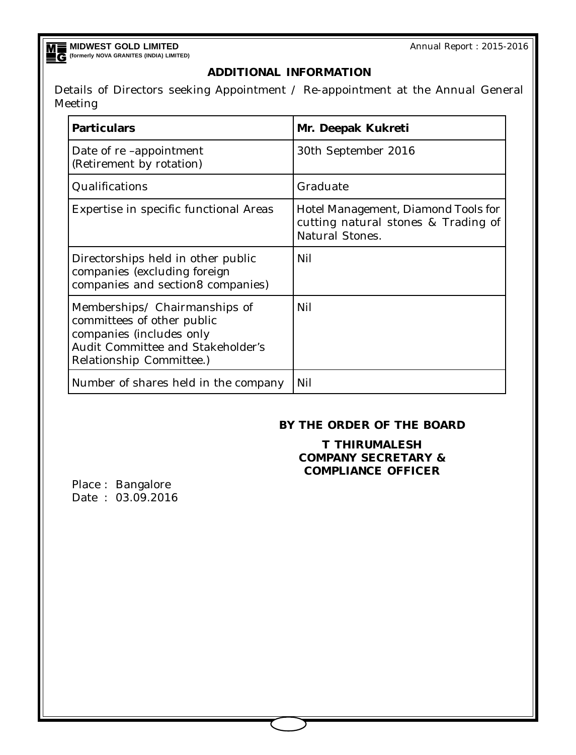**MIDWEST GOLD LIMITED (formerly NOVA GRANITES (INDIA) LIMITED)**

Annual Report : 2015-2016

### **ADDITIONAL INFORMATION**

Details of Directors seeking Appointment / Re-appointment at the Annual General Meeting

| <b>Particulars</b>                                                                                                                                              | Mr. Deepak Kukreti                                                                                   |
|-----------------------------------------------------------------------------------------------------------------------------------------------------------------|------------------------------------------------------------------------------------------------------|
| Date of re -appointment<br>(Retirement by rotation)                                                                                                             | 30th September 2016                                                                                  |
| Qualifications                                                                                                                                                  | Graduate                                                                                             |
| Expertise in specific functional Areas                                                                                                                          | Hotel Management, Diamond Tools for<br>cutting natural stones & Trading of<br><b>Natural Stones.</b> |
| Directorships held in other public<br>companies (excluding foreign<br>companies and section8 companies)                                                         | Nil                                                                                                  |
| Memberships/ Chairmanships of<br>committees of other public<br>companies (includes only<br><b>Audit Committee and Stakeholder's</b><br>Relationship Committee.) | Nil                                                                                                  |
| Number of shares held in the company                                                                                                                            | Nil                                                                                                  |

#### **BY THE ORDER OF THE BOARD**

**T THIRUMALESH COMPANY SECRETARY & COMPLIANCE OFFICER**

Place : Bangalore Date : 03.09.2016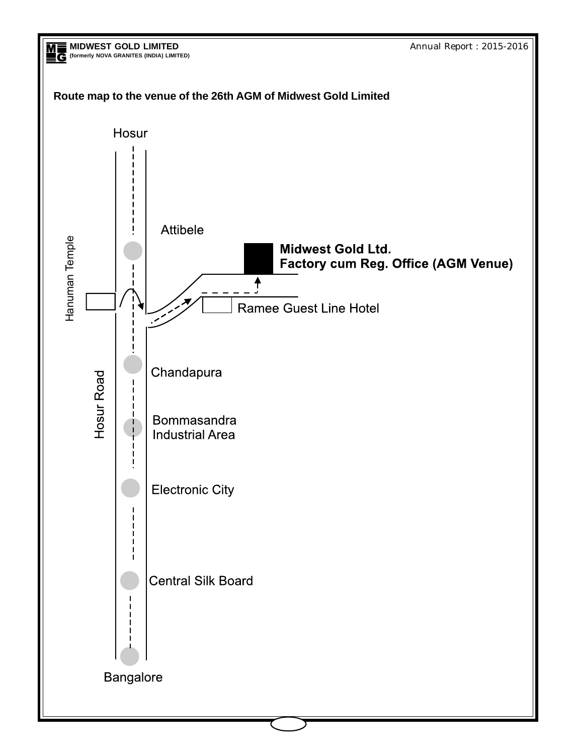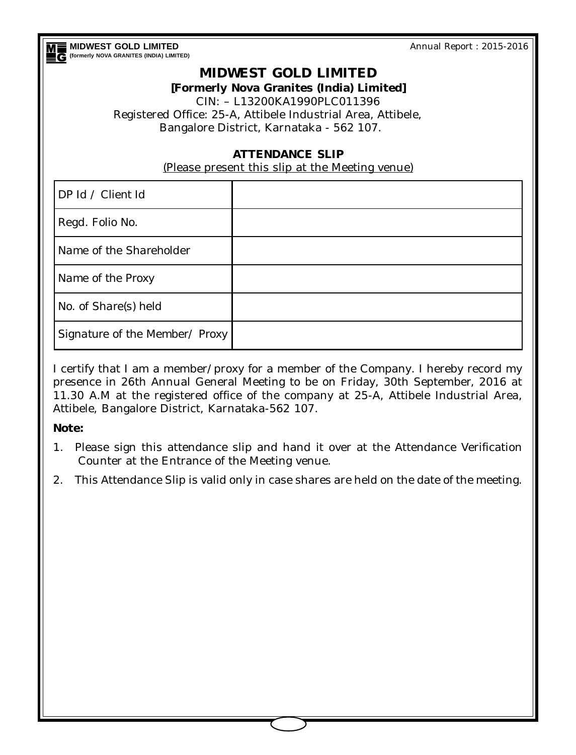**MIDWEST GOLD LIMITED (formerly NOVA GRANITES (INDIA) LIMITED)** Annual Report : 2015-2016

## **MIDWEST GOLD LIMITED**

#### **[Formerly Nova Granites (India) Limited]**

CIN: – L13200KA1990PLC011396 Registered Office: 25-A, Attibele Industrial Area, Attibele, Bangalore District, Karnataka - 562 107.

### **ATTENDANCE SLIP**

(Please present this slip at the Meeting venue)

| DP Id / Client Id              |  |
|--------------------------------|--|
| Regd. Folio No.                |  |
| Name of the Shareholder        |  |
| Name of the Proxy              |  |
| No. of Share(s) held           |  |
| Signature of the Member/ Proxy |  |

I certify that I am a member/proxy for a member of the Company. I hereby record my presence in 26th Annual General Meeting to be on Friday, 30th September, 2016 at 11.30 A.M at the registered office of the company at 25-A, Attibele Industrial Area, Attibele, Bangalore District, Karnataka-562 107.

### **Note:**

- 1. Please sign this attendance slip and hand it over at the Attendance Verification Counter at the Entrance of the Meeting venue.
- 2. This Attendance Slip is valid only in case shares are held on the date of the meeting.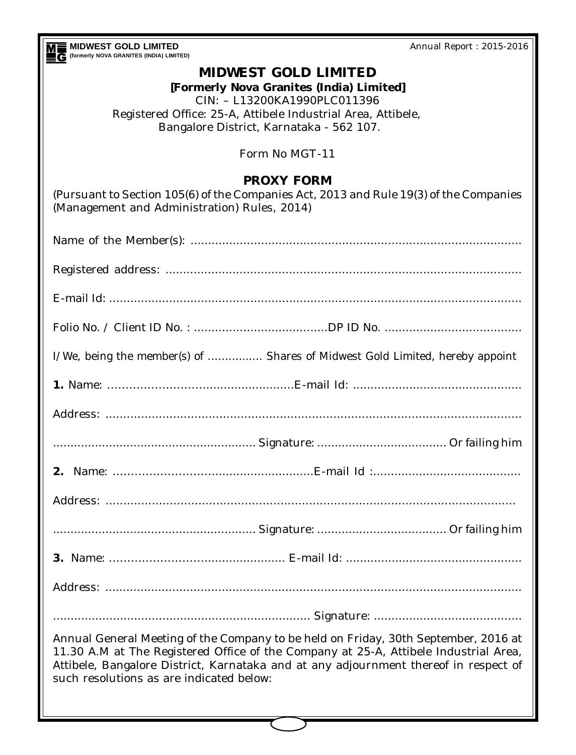| Annual Report: 2015-2016                                                                                                                                                                                                                                                                |  |  |  |
|-----------------------------------------------------------------------------------------------------------------------------------------------------------------------------------------------------------------------------------------------------------------------------------------|--|--|--|
| MIDWEST GOLD LIMITED<br>(formerly nova granites (India) LIMITED)<br><b>MIDWEST GOLD LIMITED</b><br>[Formerly Nova Granites (India) Limited]<br>CIN: - L13200KA1990PLC011396<br>Registered Office: 25-A, Attibele Industrial Area, Attibele,<br>Bangalore District, Karnataka - 562 107. |  |  |  |
|                                                                                                                                                                                                                                                                                         |  |  |  |
| <b>PROXY FORM</b><br>(Pursuant to Section 105(6) of the Companies Act, 2013 and Rule 19(3) of the Companies<br>(Management and Administration) Rules, 2014)                                                                                                                             |  |  |  |
|                                                                                                                                                                                                                                                                                         |  |  |  |
|                                                                                                                                                                                                                                                                                         |  |  |  |
|                                                                                                                                                                                                                                                                                         |  |  |  |
|                                                                                                                                                                                                                                                                                         |  |  |  |
| I/We, being the member(s) of  Shares of Midwest Gold Limited, hereby appoint                                                                                                                                                                                                            |  |  |  |
|                                                                                                                                                                                                                                                                                         |  |  |  |
|                                                                                                                                                                                                                                                                                         |  |  |  |
|                                                                                                                                                                                                                                                                                         |  |  |  |
|                                                                                                                                                                                                                                                                                         |  |  |  |
|                                                                                                                                                                                                                                                                                         |  |  |  |
|                                                                                                                                                                                                                                                                                         |  |  |  |
|                                                                                                                                                                                                                                                                                         |  |  |  |
|                                                                                                                                                                                                                                                                                         |  |  |  |
|                                                                                                                                                                                                                                                                                         |  |  |  |
| Annual General Meeting of the Company to be held on Friday, 30th September, 2016 at<br>11.30 A.M at The Registered Office of the Company at 25-A, Attibele Industrial Area,<br>Attibele, Bangalore District, Karnataka and at any adjournment thereof in respect of                     |  |  |  |
|                                                                                                                                                                                                                                                                                         |  |  |  |